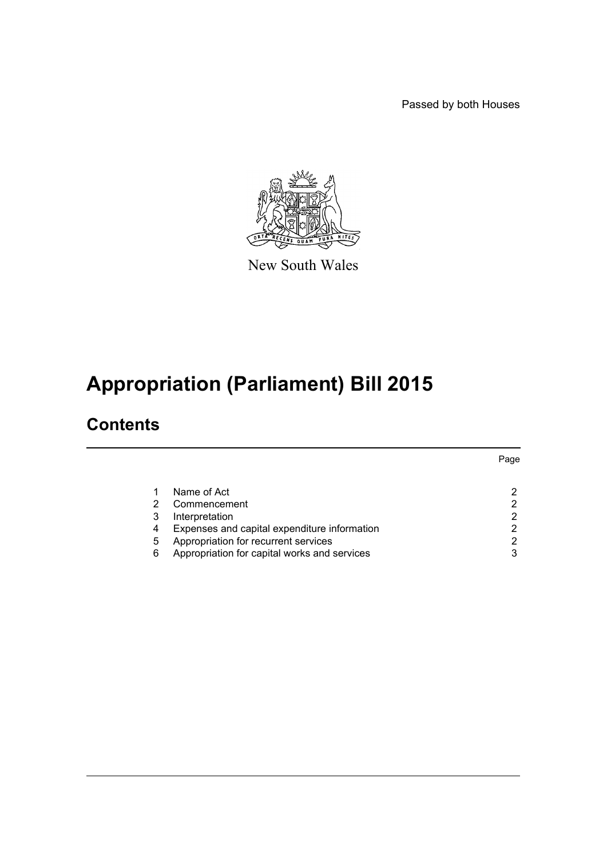Passed by both Houses



New South Wales

# **Appropriation (Parliament) Bill 2015**

### **Contents**

|   |                                              | Page |
|---|----------------------------------------------|------|
|   | Name of Act                                  |      |
| 2 | Commencement                                 |      |
| 3 | Interpretation                               |      |
| 4 | Expenses and capital expenditure information |      |
| 5 | Appropriation for recurrent services         |      |
| 6 | Appropriation for capital works and services |      |
|   |                                              |      |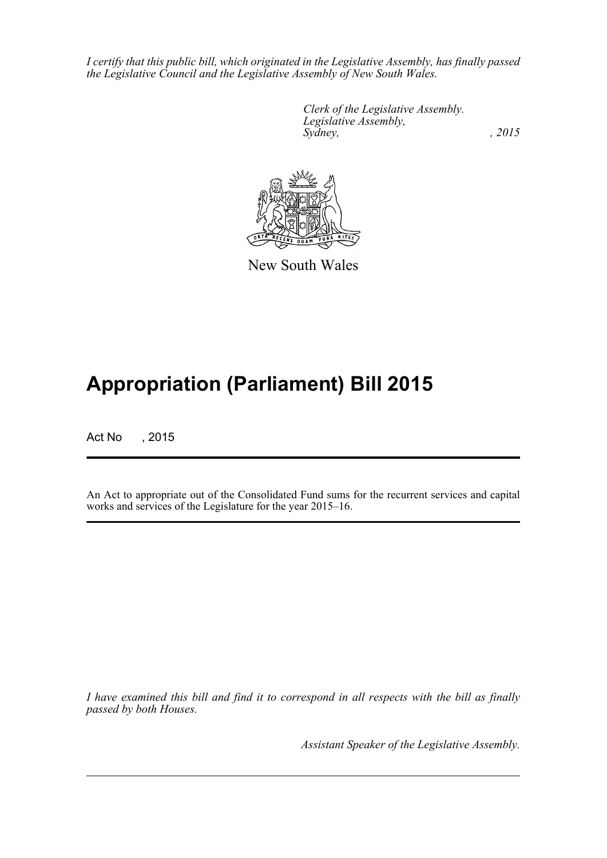*I certify that this public bill, which originated in the Legislative Assembly, has finally passed the Legislative Council and the Legislative Assembly of New South Wales.*

> *Clerk of the Legislative Assembly. Legislative Assembly, Sydney,* , 2015



New South Wales

## **Appropriation (Parliament) Bill 2015**

Act No , 2015

An Act to appropriate out of the Consolidated Fund sums for the recurrent services and capital works and services of the Legislature for the year 2015–16.

*I have examined this bill and find it to correspond in all respects with the bill as finally passed by both Houses.*

*Assistant Speaker of the Legislative Assembly.*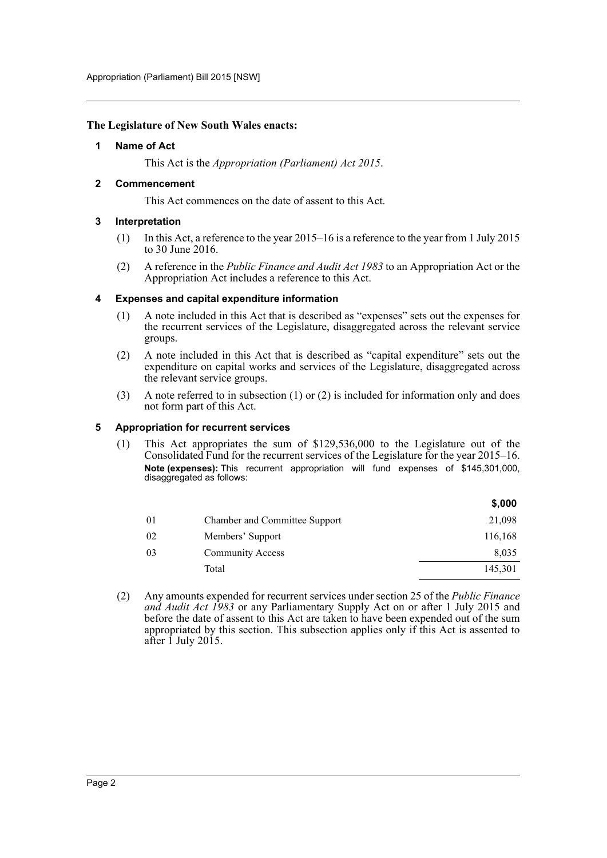#### <span id="page-2-0"></span>**The Legislature of New South Wales enacts:**

#### **1 Name of Act**

This Act is the *Appropriation (Parliament) Act 2015*.

#### <span id="page-2-1"></span>**2 Commencement**

This Act commences on the date of assent to this Act.

#### <span id="page-2-2"></span>**3 Interpretation**

- (1) In this Act, a reference to the year 2015–16 is a reference to the year from 1 July 2015 to 30 June 2016.
- (2) A reference in the *Public Finance and Audit Act 1983* to an Appropriation Act or the Appropriation Act includes a reference to this Act.

#### <span id="page-2-3"></span>**4 Expenses and capital expenditure information**

- (1) A note included in this Act that is described as "expenses" sets out the expenses for the recurrent services of the Legislature, disaggregated across the relevant service groups.
- (2) A note included in this Act that is described as "capital expenditure" sets out the expenditure on capital works and services of the Legislature, disaggregated across the relevant service groups.
- (3) A note referred to in subsection (1) or (2) is included for information only and does not form part of this Act.

#### <span id="page-2-4"></span>**5 Appropriation for recurrent services**

(1) This Act appropriates the sum of \$129,536,000 to the Legislature out of the Consolidated Fund for the recurrent services of the Legislature for the year 2015–16. **Note (expenses):** This recurrent appropriation will fund expenses of \$145,301,000, disaggregated as follows:

|    |                               | \$,000  |
|----|-------------------------------|---------|
| 01 | Chamber and Committee Support | 21,098  |
| 02 | Members' Support              | 116,168 |
| 03 | <b>Community Access</b>       | 8,035   |
|    | Total                         | 145,301 |

**\$,000**

(2) Any amounts expended for recurrent services under section 25 of the *Public Finance and Audit Act 1983* or any Parliamentary Supply Act on or after 1 July 2015 and before the date of assent to this Act are taken to have been expended out of the sum appropriated by this section. This subsection applies only if this Act is assented to after 1 July 2015.